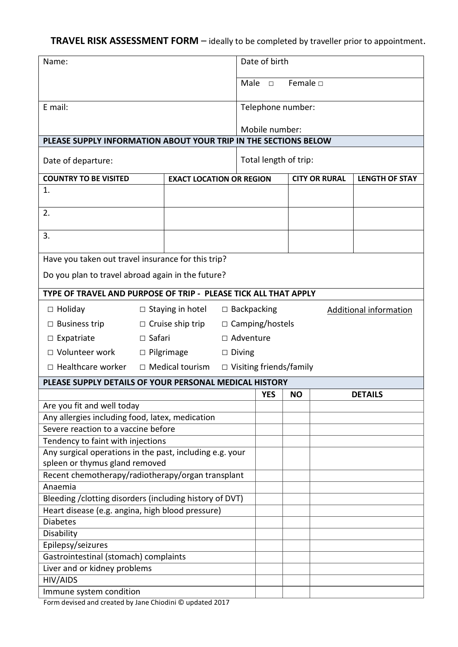## **TRAVEL RISK ASSESSMENT FORM** – ideally to be completed by traveller prior to appointment.

| Name:                                                                         |                         |                                 | Date of birth         |                                                     |                      |           |  |                       |
|-------------------------------------------------------------------------------|-------------------------|---------------------------------|-----------------------|-----------------------------------------------------|----------------------|-----------|--|-----------------------|
|                                                                               |                         |                                 |                       | Male                                                | $\Box$               | Female D  |  |                       |
| E mail:                                                                       |                         |                                 |                       | Telephone number:                                   |                      |           |  |                       |
|                                                                               |                         |                                 |                       |                                                     |                      |           |  |                       |
|                                                                               |                         |                                 |                       | Mobile number:                                      |                      |           |  |                       |
| PLEASE SUPPLY INFORMATION ABOUT YOUR TRIP IN THE SECTIONS BELOW               |                         |                                 |                       |                                                     |                      |           |  |                       |
| Date of departure:                                                            |                         |                                 | Total length of trip: |                                                     |                      |           |  |                       |
| <b>COUNTRY TO BE VISITED</b>                                                  |                         | <b>EXACT LOCATION OR REGION</b> |                       |                                                     | <b>CITY OR RURAL</b> |           |  | <b>LENGTH OF STAY</b> |
| 1.                                                                            |                         |                                 |                       |                                                     |                      |           |  |                       |
| 2.                                                                            |                         |                                 |                       |                                                     |                      |           |  |                       |
| 3.                                                                            |                         |                                 |                       |                                                     |                      |           |  |                       |
| Have you taken out travel insurance for this trip?                            |                         |                                 |                       |                                                     |                      |           |  |                       |
| Do you plan to travel abroad again in the future?                             |                         |                                 |                       |                                                     |                      |           |  |                       |
| TYPE OF TRAVEL AND PURPOSE OF TRIP - PLEASE TICK ALL THAT APPLY               |                         |                                 |                       |                                                     |                      |           |  |                       |
| $\Box$ Holiday                                                                | $\Box$ Staying in hotel |                                 |                       | $\Box$ Backpacking<br><b>Additional information</b> |                      |           |  |                       |
| $\Box$ Business trip                                                          | $\Box$ Cruise ship trip |                                 |                       | □ Camping/hostels                                   |                      |           |  |                       |
| $\Box$ Expatriate                                                             | $\Box$ Safari           |                                 |                       | $\Box$ Adventure                                    |                      |           |  |                       |
| □ Volunteer work                                                              | $\Box$ Pilgrimage       |                                 |                       | $\Box$ Diving                                       |                      |           |  |                       |
| $\Box$ Healthcare worker                                                      | $\Box$ Medical tourism  |                                 |                       | $\Box$ Visiting friends/family                      |                      |           |  |                       |
| PLEASE SUPPLY DETAILS OF YOUR PERSONAL MEDICAL HISTORY                        |                         |                                 |                       |                                                     |                      |           |  |                       |
|                                                                               |                         |                                 |                       | <b>YES</b>                                          |                      | <b>NO</b> |  | <b>DETAILS</b>        |
| Are you fit and well today<br>Any allergies including food, latex, medication |                         |                                 |                       |                                                     |                      |           |  |                       |
|                                                                               |                         |                                 |                       |                                                     |                      |           |  |                       |
| Severe reaction to a vaccine before<br>Tendency to faint with injections      |                         |                                 |                       |                                                     |                      |           |  |                       |
| Any surgical operations in the past, including e.g. your                      |                         |                                 |                       |                                                     |                      |           |  |                       |
| spleen or thymus gland removed                                                |                         |                                 |                       |                                                     |                      |           |  |                       |
| Recent chemotherapy/radiotherapy/organ transplant                             |                         |                                 |                       |                                                     |                      |           |  |                       |
| Anaemia                                                                       |                         |                                 |                       |                                                     |                      |           |  |                       |
| Bleeding / clotting disorders (including history of DVT)                      |                         |                                 |                       |                                                     |                      |           |  |                       |
| Heart disease (e.g. angina, high blood pressure)<br><b>Diabetes</b>           |                         |                                 |                       |                                                     |                      |           |  |                       |
| Disability                                                                    |                         |                                 |                       |                                                     |                      |           |  |                       |
| Epilepsy/seizures                                                             |                         |                                 |                       |                                                     |                      |           |  |                       |
| Gastrointestinal (stomach) complaints                                         |                         |                                 |                       |                                                     |                      |           |  |                       |
| Liver and or kidney problems                                                  |                         |                                 |                       |                                                     |                      |           |  |                       |
| HIV/AIDS                                                                      |                         |                                 |                       |                                                     |                      |           |  |                       |
| Immune system condition                                                       |                         |                                 |                       |                                                     |                      |           |  |                       |

Form devised and created by Jane Chiodini © updated 2017